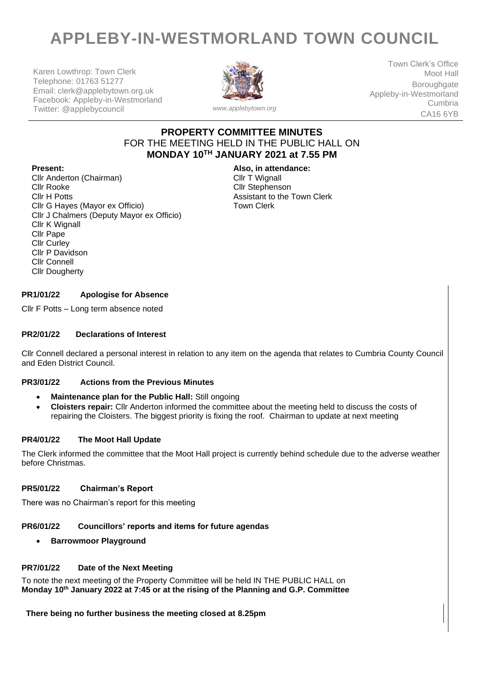# **APPLEBY-IN-WESTMORLAND TOWN COUNCIL**

Karen Lowthrop: Town Clerk Telephone: 01763 51277 Email: clerk@applebytown.org.uk Facebook: Appleby-in-Westmorland Twitter: @applebycouncil *www.applebytown.org*



Town Clerk's Office Moot Hall **Boroughgate** Appleby-in-Westmorland Cumbria CA16 6YB

# **PROPERTY COMMITTEE MINUTES** FOR THE MEETING HELD IN THE PUBLIC HALL ON **MONDAY 10TH JANUARY 2021 at 7.55 PM**

Cllr Anderton (Chairman) Cllr Rooke Cllr H Potts Cllr G Hayes (Mayor ex Officio) Cllr J Chalmers (Deputy Mayor ex Officio) Cllr K Wignall Cllr Pape Cllr Curley Cllr P Davidson Cllr Connell Cllr Dougherty

**Present: Also, in attendance:**

Cllr T Wignall Cllr Stephenson Assistant to the Town Clerk Town Clerk

# **PR1/01/22 Apologise for Absence**

Cllr F Potts – Long term absence noted

### **PR2/01/22 Declarations of Interest**

Cllr Connell declared a personal interest in relation to any item on the agenda that relates to Cumbria County Council and Eden District Council.

### **PR3/01/22 Actions from the Previous Minutes**

- **Maintenance plan for the Public Hall:** Still ongoing
- **Cloisters repair:** Cllr Anderton informed the committee about the meeting held to discuss the costs of repairing the Cloisters. The biggest priority is fixing the roof. Chairman to update at next meeting

### **PR4/01/22 The Moot Hall Update**

The Clerk informed the committee that the Moot Hall project is currently behind schedule due to the adverse weather before Christmas.

### **PR5/01/22 Chairman's Report**

There was no Chairman's report for this meeting

### **PR6/01/22 Councillors' reports and items for future agendas**

• **Barrowmoor Playground**

### **PR7/01/22 Date of the Next Meeting**

To note the next meeting of the Property Committee will be held IN THE PUBLIC HALL on **Monday 10th January 2022 at 7:45 or at the rising of the Planning and G.P. Committee**

**There being no further business the meeting closed at 8.25pm**